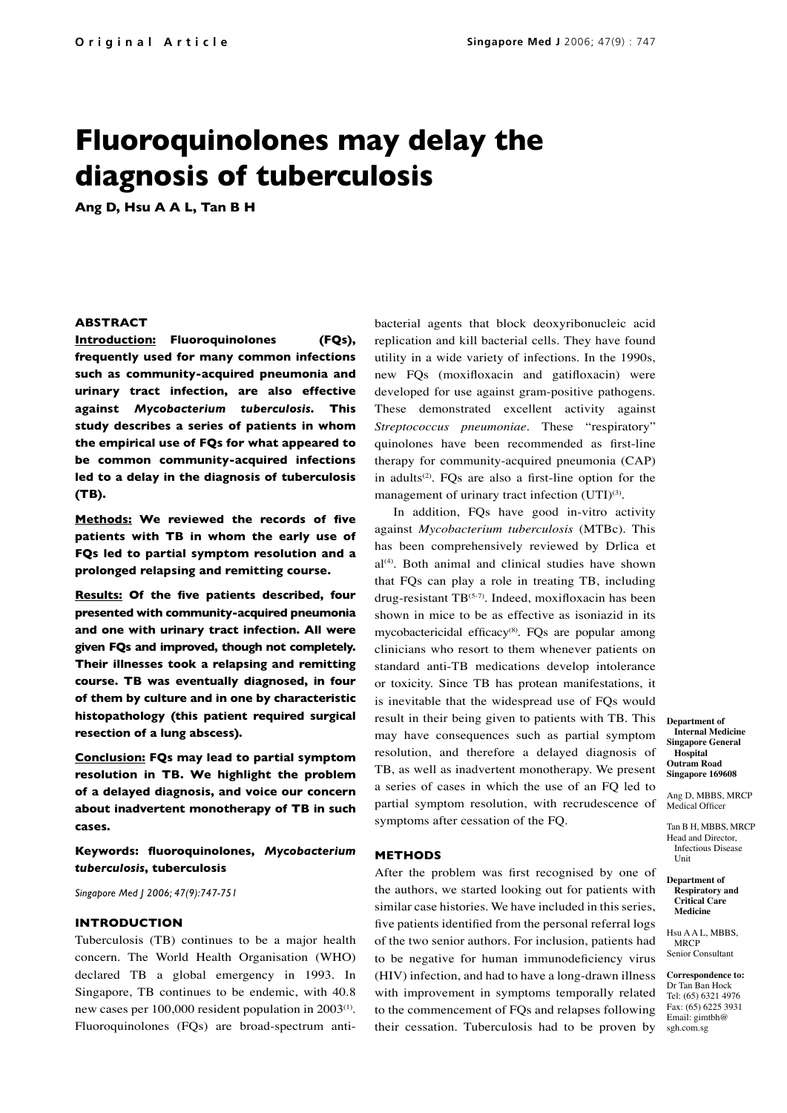# **Fluoroquinolones may delay the diagnosis of tuberculosis**

**Ang D, Hsu A A L, Tan B H**

## **ABSTRACT**

**Introduction: Fluoroquinolones (FQs), frequently used for many common infections such as community-acquired pneumonia and urinary tract infection, are also effective against** *Mycobacterium tuberculosis***. This study describes a series of patients in whom the empirical use of FQs for what appeared to be common community-acquired infections led to a delay in the diagnosis of tuberculosis (TB).**

**Methods: We reviewed the records of five patients with TB in whom the early use of FQs led to partial symptom resolution and a prolonged relapsing and remitting course.**

**Results: Of the five patients described, four presented with community-acquired pneumonia and one with urinary tract infection. All were given FQs and improved, though not completely. Their illnesses took a relapsing and remitting course. TB was eventually diagnosed, in four of them by culture and in one by characteristic histopathology (this patient required surgical resection of a lung abscess).** 

**Conclusion: FQs may lead to partial symptom resolution in TB. We highlight the problem of a delayed diagnosis, and voice our concern about inadvertent monotherapy of TB in such cases.**

**Keywords: fluoroquinolones,** *Mycobacterium tuberculosis***, tuberculosis**

*Singapore Med J 2006; 47(9):747-751*

#### **INTRODUCTION**

Tuberculosis (TB) continues to be a major health concern. The World Health Organisation (WHO) declared TB a global emergency in 1993. In Singapore, TB continues to be endemic, with 40.8 new cases per 100,000 resident population in 2003<sup>(1)</sup>. Fluoroquinolones (FQs) are broad-spectrum antibacterial agents that block deoxyribonucleic acid replication and kill bacterial cells. They have found utility in a wide variety of infections. In the 1990s, new FQs (moxifloxacin and gatifloxacin) were developed for use against gram-positive pathogens. These demonstrated excellent activity against *Streptococcus pneumoniae*. These "respiratory" quinolones have been recommended as first-line therapy for community-acquired pneumonia (CAP) in adults<sup>(2)</sup>. FQs are also a first-line option for the management of urinary tract infection (UTI)<sup>(3)</sup>.

In addition, FQs have good in-vitro activity against *Mycobacterium tuberculosis* (MTBc). This has been comprehensively reviewed by Drlica et al<sup>(4)</sup>. Both animal and clinical studies have shown that FQs can play a role in treating TB, including drug-resistant  $TB^{(5-7)}$ . Indeed, moxifloxacin has been shown in mice to be as effective as isoniazid in its mycobactericidal efficacy<sup>(8)</sup>. FQs are popular among clinicians who resort to them whenever patients on standard anti-TB medications develop intolerance or toxicity. Since TB has protean manifestations, it is inevitable that the widespread use of FQs would result in their being given to patients with TB. This may have consequences such as partial symptom resolution, and therefore a delayed diagnosis of TB, as well as inadvertent monotherapy. We present a series of cases in which the use of an FQ led to partial symptom resolution, with recrudescence of symptoms after cessation of the FQ.

#### **METHODS**

After the problem was first recognised by one of the authors, we started looking out for patients with similar case histories. We have included in this series, five patients identified from the personal referral logs of the two senior authors. For inclusion, patients had to be negative for human immunodeficiency virus (HIV) infection, and had to have a long-drawn illness with improvement in symptoms temporally related to the commencement of FQs and relapses following their cessation. Tuberculosis had to be proven by

**Department of Internal Medicine Singapore General Hospital Outram Road Singapore 169608**

Ang D, MBBS, MRCP Medical Officer

Tan B H, MBBS, MRCP Head and Director, Infectious Disease Unit

**Department of Respiratory and Critical Care Medicine**

Hsu A A L, MBBS, MRCP Senior Consultant

**Correspondence to:**  Dr Tan Ban Hock Tel: (65) 6321 4976 Fax: (65) 6225 3931 Email: gimtbh@ sgh.com.sg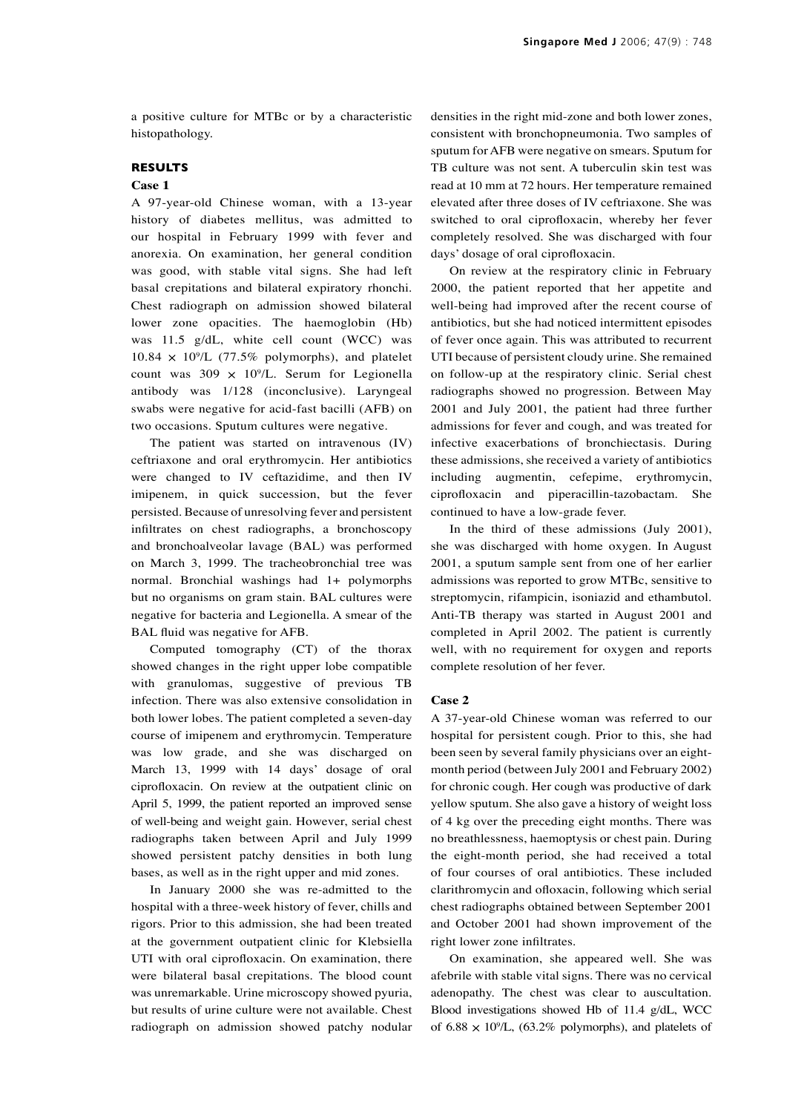a positive culture for MTBc or by a characteristic histopathology.

# **RESULTS**

## **Case 1**

A 97-year-old Chinese woman, with a 13-year history of diabetes mellitus, was admitted to our hospital in February 1999 with fever and anorexia. On examination, her general condition was good, with stable vital signs. She had left basal crepitations and bilateral expiratory rhonchi. Chest radiograph on admission showed bilateral lower zone opacities. The haemoglobin (Hb) was 11.5 g/dL, white cell count (WCC) was  $10.84 \times 10^9$ /L (77.5% polymorphs), and platelet count was  $309 \times 10^9$ /L. Serum for Legionella antibody was 1/128 (inconclusive). Laryngeal swabs were negative for acid-fast bacilli (AFB) on two occasions. Sputum cultures were negative.

The patient was started on intravenous (IV) ceftriaxone and oral erythromycin. Her antibiotics were changed to IV ceftazidime, and then IV imipenem, in quick succession, but the fever persisted. Because of unresolving fever and persistent infiltrates on chest radiographs, a bronchoscopy and bronchoalveolar lavage (BAL) was performed on March 3, 1999. The tracheobronchial tree was normal. Bronchial washings had 1+ polymorphs but no organisms on gram stain. BAL cultures were negative for bacteria and Legionella. A smear of the BAL fluid was negative for AFB.

Computed tomography (CT) of the thorax showed changes in the right upper lobe compatible with granulomas, suggestive of previous TB infection. There was also extensive consolidation in both lower lobes. The patient completed a seven-day course of imipenem and erythromycin. Temperature was low grade, and she was discharged on March 13, 1999 with 14 days' dosage of oral ciprofloxacin. On review at the outpatient clinic on April 5, 1999, the patient reported an improved sense of well-being and weight gain. However, serial chest radiographs taken between April and July 1999 showed persistent patchy densities in both lung bases, as well as in the right upper and mid zones.

In January 2000 she was re-admitted to the hospital with a three-week history of fever, chills and rigors. Prior to this admission, she had been treated at the government outpatient clinic for Klebsiella UTI with oral ciprofloxacin. On examination, there were bilateral basal crepitations. The blood count was unremarkable. Urine microscopy showed pyuria, but results of urine culture were not available. Chest radiograph on admission showed patchy nodular densities in the right mid-zone and both lower zones, consistent with bronchopneumonia. Two samples of sputum for AFB were negative on smears. Sputum for TB culture was not sent. A tuberculin skin test was read at 10 mm at 72 hours. Her temperature remained elevated after three doses of IV ceftriaxone. She was switched to oral ciprofloxacin, whereby her fever completely resolved. She was discharged with four days' dosage of oral ciprofloxacin.

On review at the respiratory clinic in February 2000, the patient reported that her appetite and well-being had improved after the recent course of antibiotics, but she had noticed intermittent episodes of fever once again. This was attributed to recurrent UTI because of persistent cloudy urine. She remained on follow-up at the respiratory clinic. Serial chest radiographs showed no progression. Between May 2001 and July 2001, the patient had three further admissions for fever and cough, and was treated for infective exacerbations of bronchiectasis. During these admissions, she received a variety of antibiotics including augmentin, cefepime, erythromycin, ciprofloxacin and piperacillin-tazobactam. She continued to have a low-grade fever.

In the third of these admissions (July 2001), she was discharged with home oxygen. In August 2001, a sputum sample sent from one of her earlier admissions was reported to grow MTBc, sensitive to streptomycin, rifampicin, isoniazid and ethambutol. Anti-TB therapy was started in August 2001 and completed in April 2002. The patient is currently well, with no requirement for oxygen and reports complete resolution of her fever.

### **Case 2**

A 37-year-old Chinese woman was referred to our hospital for persistent cough. Prior to this, she had been seen by several family physicians over an eightmonth period (between July 2001 and February 2002) for chronic cough. Her cough was productive of dark yellow sputum. She also gave a history of weight loss of 4 kg over the preceding eight months. There was no breathlessness, haemoptysis or chest pain. During the eight-month period, she had received a total of four courses of oral antibiotics. These included clarithromycin and ofloxacin, following which serial chest radiographs obtained between September 2001 and October 2001 had shown improvement of the right lower zone infiltrates.

On examination, she appeared well. She was afebrile with stable vital signs. There was no cervical adenopathy. The chest was clear to auscultation. Blood investigations showed Hb of 11.4 g/dL, WCC of 6.88  $\times$  10<sup>9</sup>/L, (63.2% polymorphs), and platelets of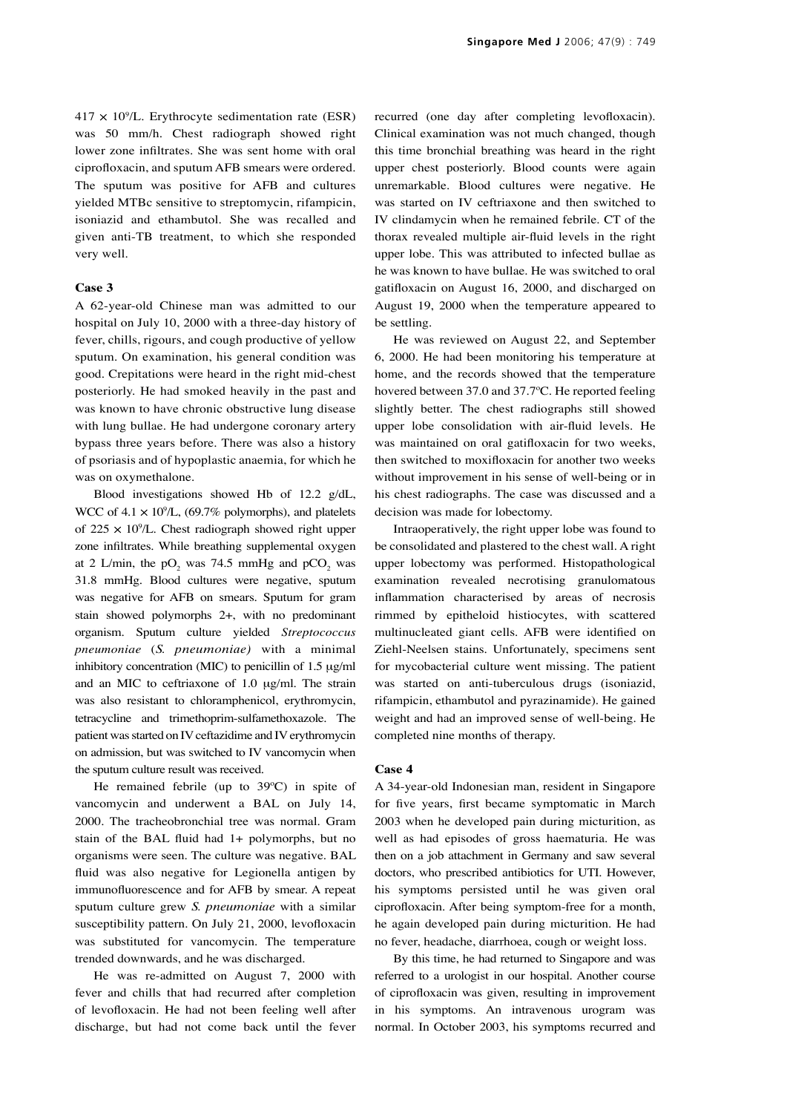$417 \times 10^9$ /L. Erythrocyte sedimentation rate (ESR) was 50 mm/h. Chest radiograph showed right lower zone infiltrates. She was sent home with oral ciprofloxacin, and sputum AFB smears were ordered. The sputum was positive for AFB and cultures yielded MTBc sensitive to streptomycin, rifampicin, isoniazid and ethambutol. She was recalled and given anti-TB treatment, to which she responded very well.

#### **Case 3**

A 62-year-old Chinese man was admitted to our hospital on July 10, 2000 with a three-day history of fever, chills, rigours, and cough productive of yellow sputum. On examination, his general condition was good. Crepitations were heard in the right mid-chest posteriorly. He had smoked heavily in the past and was known to have chronic obstructive lung disease with lung bullae. He had undergone coronary artery bypass three years before. There was also a history of psoriasis and of hypoplastic anaemia, for which he was on oxymethalone.

Blood investigations showed Hb of 12.2 g/dL, WCC of  $4.1 \times 10^9$ /L, (69.7% polymorphs), and platelets of  $225 \times 10^9$ /L. Chest radiograph showed right upper zone infiltrates. While breathing supplemental oxygen at 2 L/min, the  $pO_2$  was 74.5 mmHg and  $pCO_2$  was 31.8 mmHg. Blood cultures were negative, sputum was negative for AFB on smears. Sputum for gram stain showed polymorphs 2+, with no predominant organism. Sputum culture yielded *Streptococcus pneumoniae* (*S. pneumoniae)* with a minimal inhibitory concentration (MIC) to penicillin of 1.5 μg/ml and an MIC to ceftriaxone of 1.0 μg/ml. The strain was also resistant to chloramphenicol, erythromycin, tetracycline and trimethoprim-sulfamethoxazole. The patient was started on IV ceftazidime and IV erythromycin on admission, but was switched to IV vancomycin when the sputum culture result was received.

He remained febrile (up to 39ºC) in spite of vancomycin and underwent a BAL on July 14, 2000. The tracheobronchial tree was normal. Gram stain of the BAL fluid had 1+ polymorphs, but no organisms were seen. The culture was negative. BAL fluid was also negative for Legionella antigen by immunofluorescence and for AFB by smear. A repeat sputum culture grew *S. pneumoniae* with a similar susceptibility pattern. On July 21, 2000, levofloxacin was substituted for vancomycin. The temperature trended downwards, and he was discharged.

He was re-admitted on August 7, 2000 with fever and chills that had recurred after completion of levofloxacin. He had not been feeling well after discharge, but had not come back until the fever recurred (one day after completing levofloxacin). Clinical examination was not much changed, though this time bronchial breathing was heard in the right upper chest posteriorly. Blood counts were again unremarkable. Blood cultures were negative. He was started on IV ceftriaxone and then switched to IV clindamycin when he remained febrile. CT of the thorax revealed multiple air-fluid levels in the right upper lobe. This was attributed to infected bullae as he was known to have bullae. He was switched to oral gatifloxacin on August 16, 2000, and discharged on August 19, 2000 when the temperature appeared to be settling.

He was reviewed on August 22, and September 6, 2000. He had been monitoring his temperature at home, and the records showed that the temperature hovered between 37.0 and 37.7ºC. He reported feeling slightly better. The chest radiographs still showed upper lobe consolidation with air-fluid levels. He was maintained on oral gatifloxacin for two weeks, then switched to moxifloxacin for another two weeks without improvement in his sense of well-being or in his chest radiographs. The case was discussed and a decision was made for lobectomy.

Intraoperatively, the right upper lobe was found to be consolidated and plastered to the chest wall. A right upper lobectomy was performed. Histopathological examination revealed necrotising granulomatous inflammation characterised by areas of necrosis rimmed by epitheloid histiocytes, with scattered multinucleated giant cells. AFB were identified on Ziehl-Neelsen stains. Unfortunately, specimens sent for mycobacterial culture went missing. The patient was started on anti-tuberculous drugs (isoniazid, rifampicin, ethambutol and pyrazinamide). He gained weight and had an improved sense of well-being. He completed nine months of therapy.

#### **Case 4**

A 34-year-old Indonesian man, resident in Singapore for five years, first became symptomatic in March 2003 when he developed pain during micturition, as well as had episodes of gross haematuria. He was then on a job attachment in Germany and saw several doctors, who prescribed antibiotics for UTI. However, his symptoms persisted until he was given oral ciprofloxacin. After being symptom-free for a month, he again developed pain during micturition. He had no fever, headache, diarrhoea, cough or weight loss.

By this time, he had returned to Singapore and was referred to a urologist in our hospital. Another course of ciprofloxacin was given, resulting in improvement in his symptoms. An intravenous urogram was normal. In October 2003, his symptoms recurred and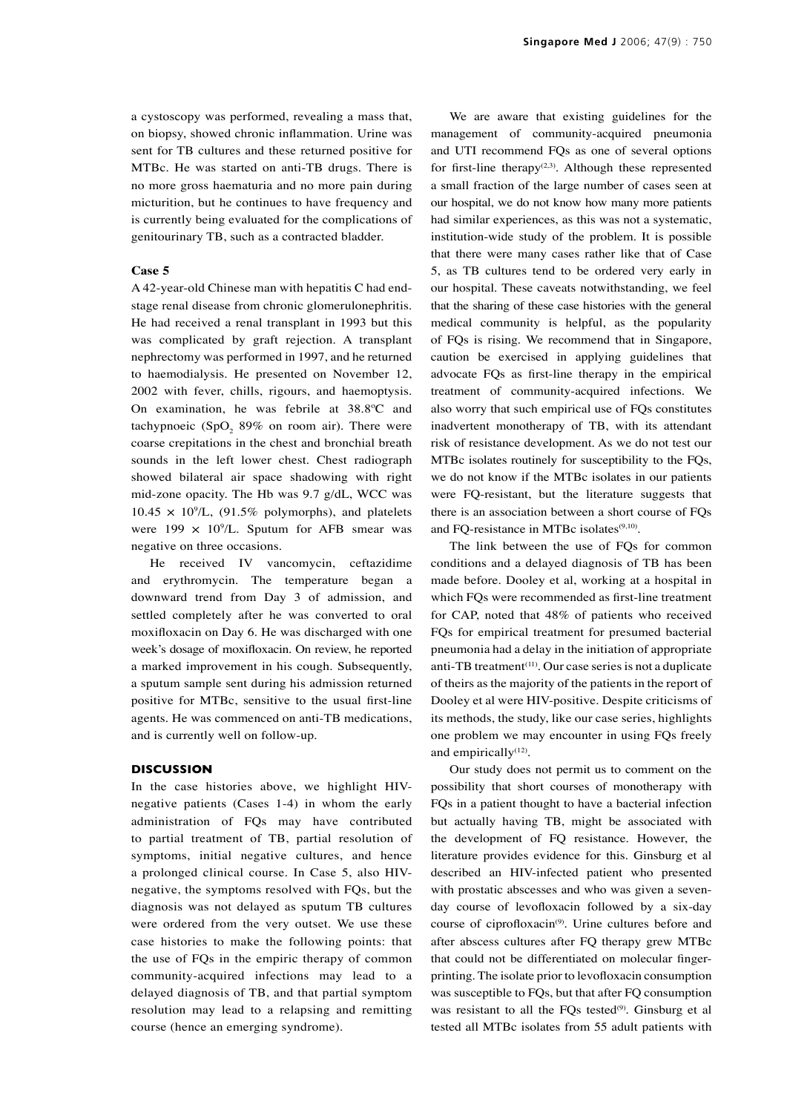a cystoscopy was performed, revealing a mass that, on biopsy, showed chronic inflammation. Urine was sent for TB cultures and these returned positive for MTBc. He was started on anti-TB drugs. There is no more gross haematuria and no more pain during micturition, but he continues to have frequency and is currently being evaluated for the complications of genitourinary TB, such as a contracted bladder.

## **Case 5**

A 42-year-old Chinese man with hepatitis C had endstage renal disease from chronic glomerulonephritis. He had received a renal transplant in 1993 but this was complicated by graft rejection. A transplant nephrectomy was performed in 1997, and he returned to haemodialysis. He presented on November 12, 2002 with fever, chills, rigours, and haemoptysis. On examination, he was febrile at 38.8ºC and tachypnoeic  $(SpO<sub>2</sub> 89%$  on room air). There were coarse crepitations in the chest and bronchial breath sounds in the left lower chest. Chest radiograph showed bilateral air space shadowing with right mid-zone opacity. The Hb was 9.7 g/dL, WCC was  $10.45 \times 10^9$ /L, (91.5% polymorphs), and platelets were  $199 \times 10^9$ /L. Sputum for AFB smear was negative on three occasions.

He received IV vancomycin, ceftazidime and erythromycin. The temperature began a downward trend from Day 3 of admission, and settled completely after he was converted to oral moxifloxacin on Day 6. He was discharged with one week's dosage of moxifloxacin. On review, he reported a marked improvement in his cough. Subsequently, a sputum sample sent during his admission returned positive for MTBc, sensitive to the usual first-line agents. He was commenced on anti-TB medications, and is currently well on follow-up.

## **DISCUSSION**

In the case histories above, we highlight HIVnegative patients (Cases 1-4) in whom the early administration of FQs may have contributed to partial treatment of TB, partial resolution of symptoms, initial negative cultures, and hence a prolonged clinical course. In Case 5, also HIVnegative, the symptoms resolved with FQs, but the diagnosis was not delayed as sputum TB cultures were ordered from the very outset. We use these case histories to make the following points: that the use of FQs in the empiric therapy of common community-acquired infections may lead to a delayed diagnosis of TB, and that partial symptom resolution may lead to a relapsing and remitting course (hence an emerging syndrome).

We are aware that existing guidelines for the management of community-acquired pneumonia and UTI recommend FQs as one of several options for first-line therapy<sup>(2,3)</sup>. Although these represented a small fraction of the large number of cases seen at our hospital, we do not know how many more patients had similar experiences, as this was not a systematic, institution-wide study of the problem. It is possible that there were many cases rather like that of Case 5, as TB cultures tend to be ordered very early in our hospital. These caveats notwithstanding, we feel that the sharing of these case histories with the general medical community is helpful, as the popularity of FQs is rising. We recommend that in Singapore, caution be exercised in applying guidelines that advocate FQs as first-line therapy in the empirical treatment of community-acquired infections. We also worry that such empirical use of FQs constitutes inadvertent monotherapy of TB, with its attendant risk of resistance development. As we do not test our MTBc isolates routinely for susceptibility to the FQs, we do not know if the MTBc isolates in our patients were FQ-resistant, but the literature suggests that there is an association between a short course of FQs and FQ-resistance in MTBc isolates<sup>(9,10)</sup>.

The link between the use of FQs for common conditions and a delayed diagnosis of TB has been made before. Dooley et al, working at a hospital in which FQs were recommended as first-line treatment for CAP, noted that 48% of patients who received FQs for empirical treatment for presumed bacterial pneumonia had a delay in the initiation of appropriate anti-TB treatment(11). Our case series is not a duplicate of theirs as the majority of the patients in the report of Dooley et al were HIV-positive. Despite criticisms of its methods, the study, like our case series, highlights one problem we may encounter in using FQs freely and empirically $(12)$ .

Our study does not permit us to comment on the possibility that short courses of monotherapy with FQs in a patient thought to have a bacterial infection but actually having TB, might be associated with the development of FQ resistance. However, the literature provides evidence for this. Ginsburg et al described an HIV-infected patient who presented with prostatic abscesses and who was given a sevenday course of levofloxacin followed by a six-day course of ciprofloxacin<sup>(9)</sup>. Urine cultures before and after abscess cultures after FQ therapy grew MTBc that could not be differentiated on molecular fingerprinting. The isolate prior to levofloxacin consumption was susceptible to FQs, but that after FQ consumption was resistant to all the FQs tested $(9)$ . Ginsburg et all tested all MTBc isolates from 55 adult patients with